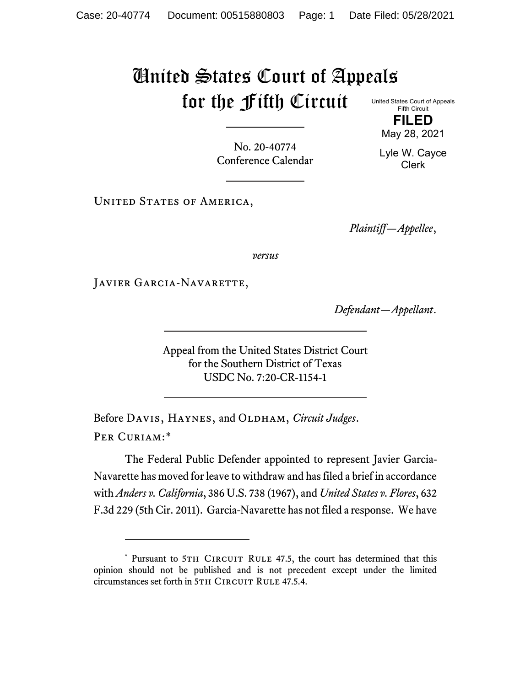## United States Court of Appeals for the Fifth Circuit

United States Court of Appeals Fifth Circuit **FILED**

May 28, 2021

No. 20-40774 Conference Calendar

Lyle W. Cayce Clerk

UNITED STATES OF AMERICA,

*Plaintiff—Appellee*,

*versus*

JAVIER GARCIA-NAVARETTE,

*Defendant—Appellant*.

Appeal from the United States District Court for the Southern District of Texas USDC No. 7:20-CR-1154-1

Before DAVIS, HAYNES, and OLDHAM, *Circuit Judges*. Per Curiam:[\\*](#page-0-0)

The Federal Public Defender appointed to represent Javier Garcia-Navarette has moved for leave to withdraw and has filed a brief in accordance with *Anders v. California*, 386 U.S. 738 (1967), and *United States v. Flores*, 632 F.3d 229 (5th Cir. 2011). Garcia-Navarette has not filed a response. We have

<span id="page-0-0"></span><sup>\*</sup> Pursuant to 5TH CIRCUIT RULE 47.5, the court has determined that this opinion should not be published and is not precedent except under the limited circumstances set forth in 5TH CIRCUIT RULE 47.5.4.